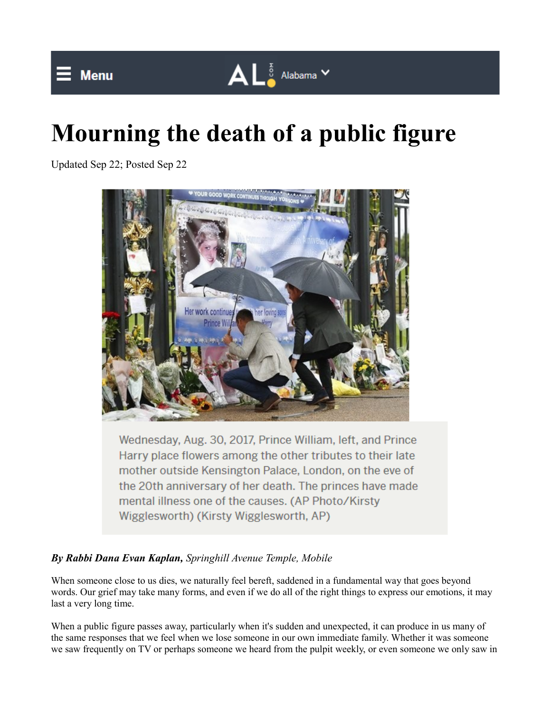



 $\mathbf{A} \mathbf{L}^{\frac{1}{8}}$  Alabama  $\mathbf{v}$ 

Updated Sep 22; Posted Sep 22



Wednesday, Aug. 30, 2017, Prince William, left, and Prince Harry place flowers among the other tributes to their late mother outside Kensington Palace, London, on the eve of the 20th anniversary of her death. The princes have made mental illness one of the causes. (AP Photo/Kirsty Wigglesworth) (Kirsty Wigglesworth, AP)

## *By Rabbi Dana Evan Kaplan, Springhill Avenue Temple, Mobile*

When someone close to us dies, we naturally feel bereft, saddened in a fundamental way that goes beyond words. Our grief may take many forms, and even if we do all of the right things to express our emotions, it may last a very long time.

When a public figure passes away, particularly when it's sudden and unexpected, it can produce in us many of the same responses that we feel when we lose someone in our own immediate family. Whether it was someone we saw frequently on TV or perhaps someone we heard from the pulpit weekly, or even someone we only saw in